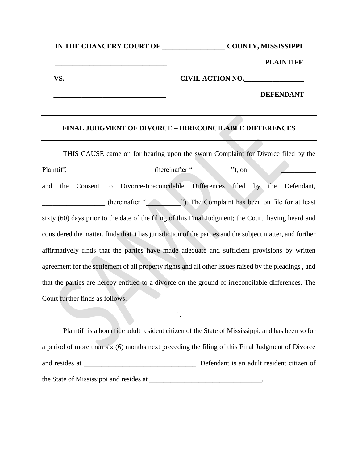**IN THE CHANCERY COURT OF \_\_\_\_\_\_\_\_\_\_\_\_\_\_\_\_\_\_ COUNTY, MISSISSIPPI**

**\_\_\_\_\_\_\_\_\_\_\_\_\_\_\_\_\_\_\_\_\_\_\_\_\_\_\_\_\_\_\_\_ PLAINTIFF**

VS. THE CIVIL ACTION NO.

**\_\_\_\_\_\_\_\_\_\_\_\_\_\_\_\_\_\_\_\_\_\_\_\_\_\_\_\_\_\_\_\_ DEFENDANT**

## **FINAL JUDGMENT OF DIVORCE – IRRECONCILABLE DIFFERENCES**

THIS CAUSE came on for hearing upon the sworn Complaint for Divorce filed by the Plaintiff, the endeavor of the endeavor of the endeavor of the endeavor of the set of the set of the set of the set of the set of the set of the set of the set of the set of the set of the set of the set of the set of the and the Consent to Divorce-Irreconcilable Differences filed by the Defendant, \_\_\_\_\_\_\_\_\_\_\_\_\_\_\_\_\_\_ (hereinafter "\_\_\_\_\_\_\_\_\_\_"). The Complaint has been on file for at least sixty (60) days prior to the date of the filing of this Final Judgment; the Court, having heard and considered the matter, finds that it has jurisdiction of the parties and the subject matter, and further affirmatively finds that the parties have made adequate and sufficient provisions by written agreement for the settlement of all property rights and all other issues raised by the pleadings , and that the parties are hereby entitled to a divorce on the ground of irreconcilable differences. The Court further finds as follows:

1.

Plaintiff is a bona fide adult resident citizen of the State of Mississippi, and has been so for a period of more than six (6) months next preceding the filing of this Final Judgment of Divorce and resides at **a a .** Defendant is an adult resident citizen of the State of Mississippi and resides at  $\cdot$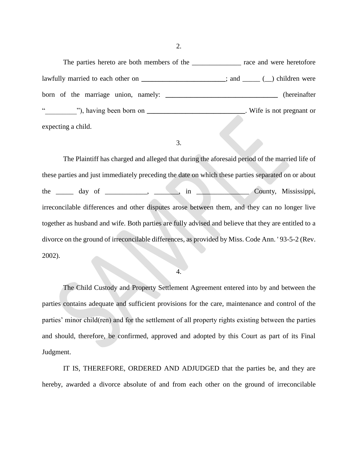2.

The parties hereto are both members of the \_\_\_\_\_\_\_\_\_\_\_\_\_\_\_ race and were heretofore lawfully married to each other on **\_\_\_\_\_\_\_\_\_\_\_\_\_\_\_\_\_\_\_**; and \_\_\_\_\_ (\_) children were born of the marriage union, namely: **\_\_\_\_\_\_\_\_\_\_\_\_\_\_\_\_\_\_\_\_\_\_\_\_\_\_\_\_\_\_\_\_** (hereinafter "), having been born on **\_\_\_\_\_\_\_\_\_\_\_\_\_\_\_\_\_\_\_\_\_\_\_\_\_\_**. Wife is not pregnant or expecting a child.

3.

The Plaintiff has charged and alleged that during the aforesaid period of the married life of these parties and just immediately preceding the date on which these parties separated on or about the \_\_\_\_\_ day of \_\_\_\_\_\_\_\_\_, \_\_\_\_, in \_\_\_\_\_\_\_\_\_\_\_\_\_ County, Mississippi, irreconcilable differences and other disputes arose between them, and they can no longer live together as husband and wife. Both parties are fully advised and believe that they are entitled to a divorce on the ground of irreconcilable differences, as provided by Miss. Code Ann. ' 93-5-2 (Rev. 2002).

4.

The Child Custody and Property Settlement Agreement entered into by and between the parties contains adequate and sufficient provisions for the care, maintenance and control of the parties' minor child(ren) and for the settlement of all property rights existing between the parties and should, therefore, be confirmed, approved and adopted by this Court as part of its Final Judgment.

IT IS, THEREFORE, ORDERED AND ADJUDGED that the parties be, and they are hereby, awarded a divorce absolute of and from each other on the ground of irreconcilable